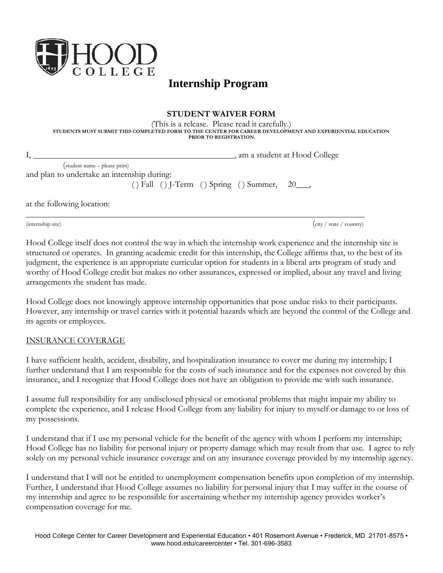

# **Internship Program**

## **STUDENT WAIVER FORM**

(This is a release. Please read it carefully.) **STUDENTS MUST SUBMIT THIS COMPLETED FORM TO THE CENTER FOR CAREER DEVELOPMENT AND EXPERIENTIAL EDUCATION PRIOR TO REGISTRATION.**

|                               | , am a student at Hood College |
|-------------------------------|--------------------------------|
| (student name – please print) |                                |

and plan to undertake an internship during:

 $( )$  Fall  $( )$  J-Term  $( )$  Spring  $( )$  Summer, 20\_\_\_,

at the following location:

(internship site) (city / state / country)

Hood College itself does not control the way in which the internship work experience and the internship site is structured or operates. In granting academic credit for this internship, the College affirms that, to the best of its judgment, the experience is an appropriate curricular option for students in a liberal arts program of study and worthy of Hood College credit but makes no other assurances, expressed or implied, about any travel and living arrangements the student has made.

Hood College does not knowingly approve internship opportunities that pose undue risks to their participants. However, any internship or travel carries with it potential hazards which are beyond the control of the College and its agents or employees.

# INSURANCE COVERAGE

I have sufficient health, accident, disability, and hospitalization insurance to cover me during my internship; I further understand that I am responsible for the costs of such insurance and for the expenses not covered by this insurance, and I recognize that Hood College does not have an obligation to provide me with such insurance.

I assume full responsibility for any undisclosed physical or emotional problems that might impair my ability to complete the experience, and I release Hood College from any liability for injury to myself or damage to or loss of my possessions.

I understand that if I use my personal vehicle for the benefit of the agency with whom I perform my internship; Hood College has no liability for personal injury or property damage which may result from that use. I agree to rely solely on my personal vehicle insurance coverage and on any insurance coverage provided by my internship agency.

I understand that I will not be entitled to unemployment compensation benefits upon completion of my internship. Further, I understand that Hood College assumes no liability for personal injury that I may suffer in the course of my internship and agree to be responsible for ascertaining whether my internship agency provides worker's compensation coverage for me.